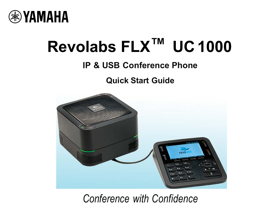

# **Revolabs FLX™ UC 1000**

## **IP & USB Conference Phone**

**Quick Start Guide** 



## *Conference with Confidence*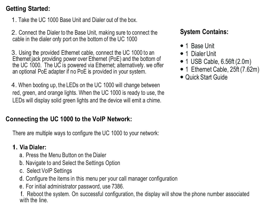## **Getting Started:**

1. Take the UC 1000 Base Unit and Dialer out of the box.

2. Connect the Dialer to the Base Unit, making sure to connect the cable in the dialer only port on the bottom of the UC 1000

3. Using the provided Ethernet cable, connect the UC 1000 to an Ethernet jack providing power over Ethernet (PoE) and the bottom of the UC 1000. The UC is powered via Ethernet; alternatively, we offer an optional PoE adapter if no PoE is provided in your system.

4. When booting up, the LEDs on the UC 1000 will change between red, green, and orange lights. When the UC 1000 is ready to use, the LEDs will display solid green lights and the device will emit a chime.

## **Connecting the UC 1000 to the VoIP Network:**

There are multiple ways to configure the UC 1000 to your network:

## **1. Via Dialer:**

- a. Press the Menu Button on the Dialer
- b. Navigate to and Select the Settings Option
- c. Select VoIP Settings
- d. Configure the items in this menu per your call manager configuration
- e. For initial administrator password, use 7386.

f. Reboot the system. On successful configuration, the display will show the phone number associated with the line.

## **System Contains:**

- 1 Base Unit
- 1 Dialer Unit
- 1 USB Cable, 6.56ft (2.0m)
- 1 Ethernet Cable, 25ft (7.62m)
- Quick Start Guide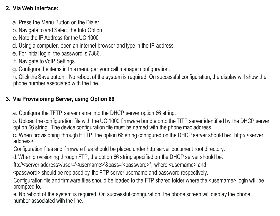#### **2. Via Web Interface:**

- a. Press the Menu Button on the Dialer
- b. Navigate to and Select the Info Option
- c. Note the IP Address for the UC 1000
- d. Using a computer, open an internet browser and type in the IP address
- e. For initial login, the password is 7386.
- f. Navigate to VoIP Settings
- g. Configure the items in this menu per your call manager configuration.

h. Click the Save button. No reboot of the system is required. On successful configuration, the display will show the phone number associated with the line.

#### **3. Via Provisioning Server, using Option 66**

a. Configure the TFTP server name into the DHCP server option 66 string.

b. Upload the configuration file with the UC 1000 firmware bundle onto the TfTP server identified by the DHCP server option 66 string. The device configuration file must be named with the phone mac address.

c. When provisioning through HTTP, the option 66 string configured on the DHCP server should be: http:/l<server address>

Configuration files and firmware files should be placed under http server document root directory.

d.When provisioning through FTP, the option 66 string specified on the DHCP server should be:

ftp:// <server address>/user= '<username> '&pass=" <password>", where <usemame> and

<password> should be replaced by the FTP server username and password respectively.

Configuration file and firmware files should be loaded to the FTP shared folder where the <usemame> login will be prompted to.

e. No reboot of the system is required. On successful configuration, the phone screen will display the phone number associated with the line.